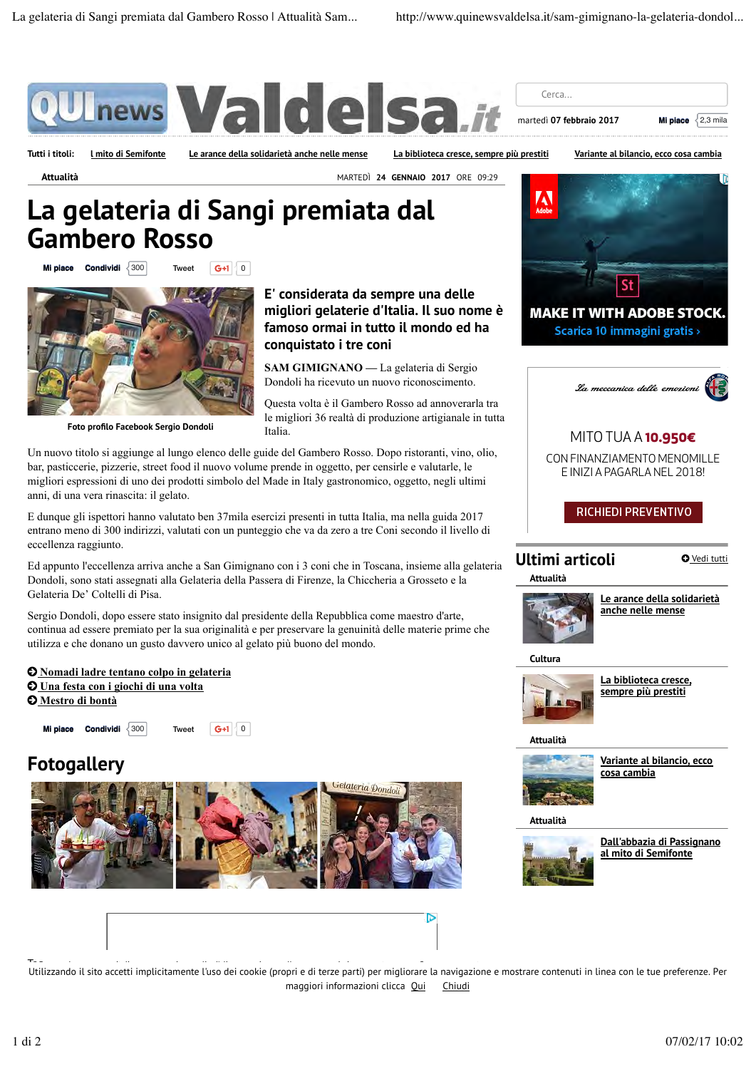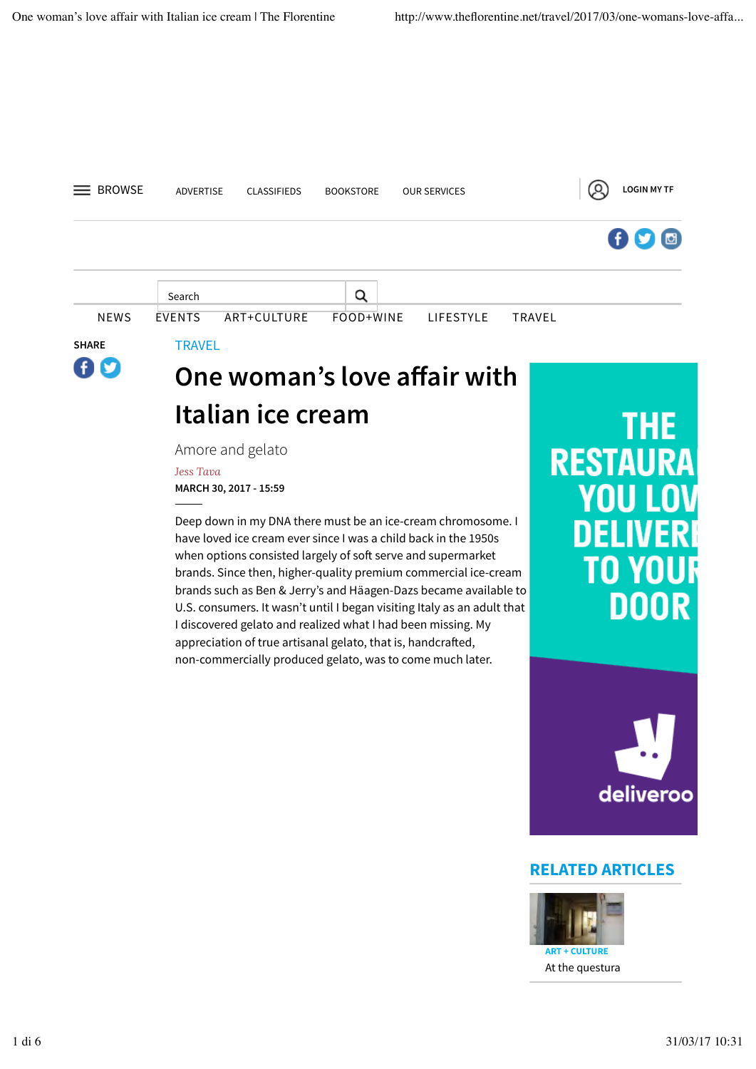

## **Italian ice cream**

Amore and gelato

*Jess Tava*

**MARCH 30, 2017 - 15:59**

Deep down in my DNA there must be an ice-cream chromosome. I have loved ice cream ever since I was a child back in the 1950s when options consisted largely of soft serve and supermarket brands. Since then, higher-quality premium commercial ice-cream brands such as Ben & Jerry's and Häagen-Dazs became available to U.S. consumers. It wasn't until I began visiting Italy as an adult that I discovered gelato and realized what I had been missing. My appreciation of true artisanal gelato, that is, handcrafed, non-commercially produced gelato, was to come much later.

# THE . **RESTAURA** 'O YO DOOR



#### **RELATED ARTICLES**



At the questura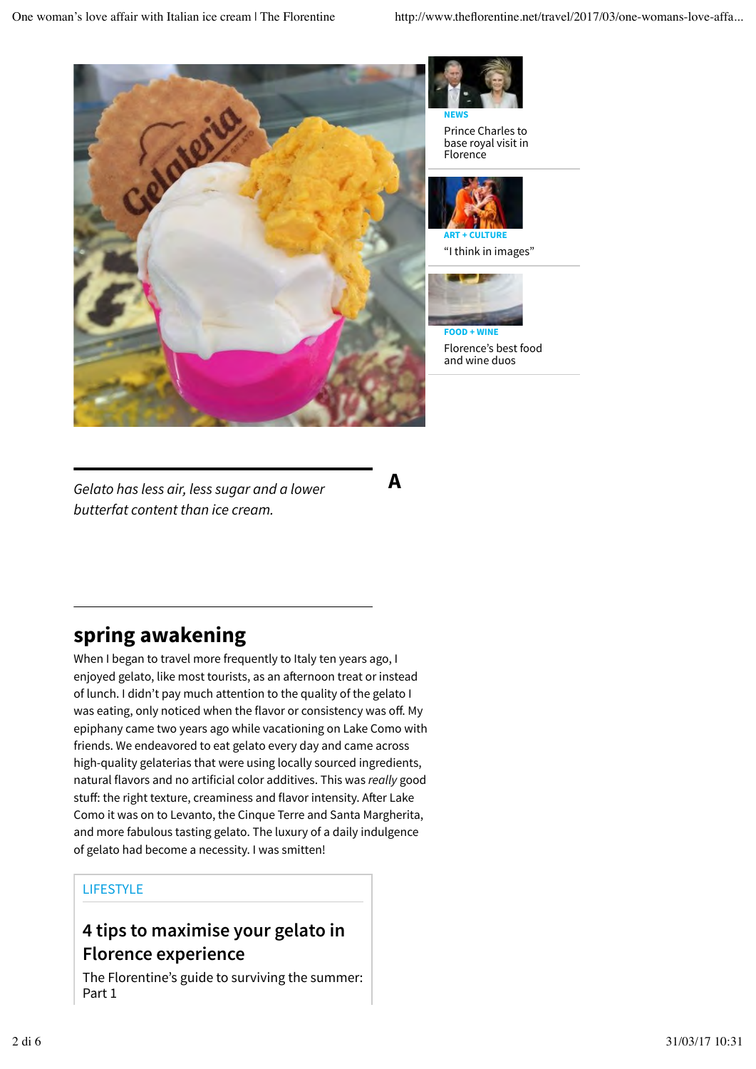



Prince Charles to base royal visit in Florence



"I think in images"



**A**

Florence's best food and wine duos

*Gelato has less air, less sugar and a lower butterfat content than ice cream.*

## **spring awakening**

When I began to travel more frequently to Italy ten years ago, I enjoyed gelato, like most tourists, as an afternoon treat or instead of lunch. I didn't pay much attention to the quality of the gelato I was eating, only noticed when the flavor or consistency was off. My epiphany came two years ago while vacationing on Lake Como with friends. We endeavored to eat gelato every day and came across high-quality gelaterias that were using locally sourced ingredients, natural flavors and no artificial color additives. This was *really* good stuff: the right texture, creaminess and flavor intensity. After Lake Como it was on to Levanto, the Cinque Terre and Santa Margherita, and more fabulous tasting gelato. The luxury of a daily indulgence of gelato had become a necessity. I was smitten!

#### LIFESTYLE

### **4 tips to maximise your gelato in Florence experience**

The Florentine's guide to surviving the summer: Part 1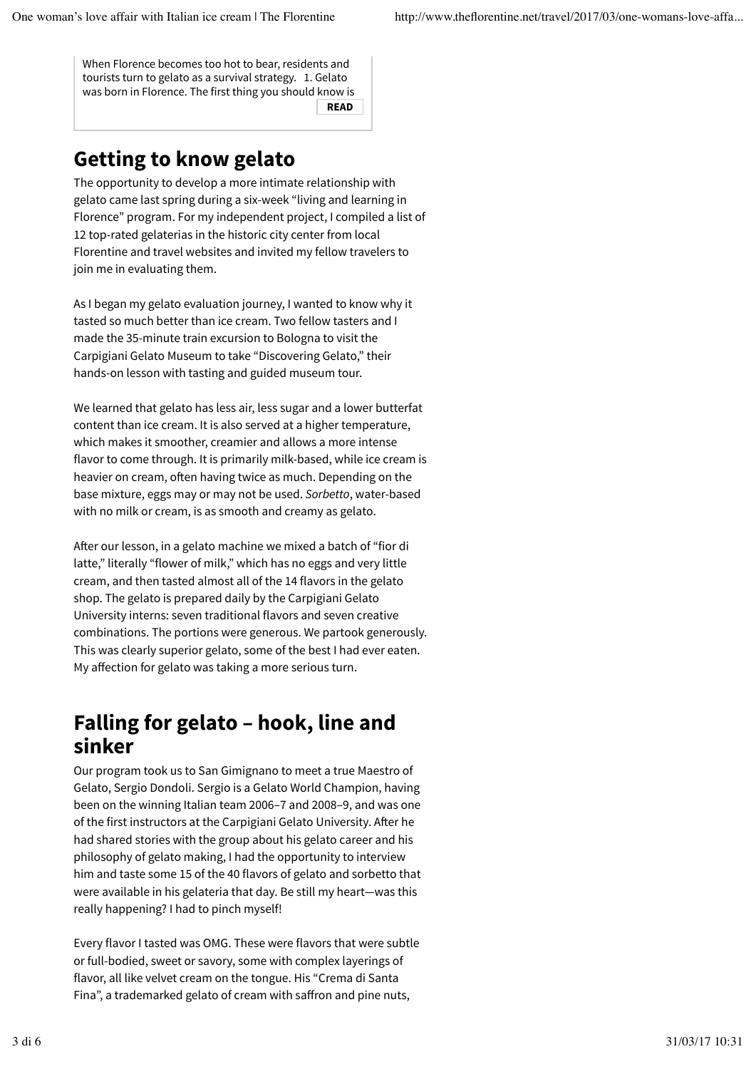When Florence becomes too hot to bear, residents and tourists turn to gelato as a survival strategy. 1. Gelato was born in Florence. The first thing you should know is

#### **READ**

## **Getting to know gelato**

The opportunity to develop a more intimate relationship with gelato came last spring during a six-week "living and learning in Florence" program. For my independent project, I compiled a list of 12 top-rated gelaterias in the historic city center from local Florentine and travel websites and invited my fellow travelers to join me in evaluating them.

As I began my gelato evaluation journey, I wanted to know why it tasted so much better than ice cream. Two fellow tasters and I made the 35-minute train excursion to Bologna to visit the Carpigiani Gelato Museum to take "Discovering Gelato," their hands-on lesson with tasting and guided museum tour.

We learned that gelato has less air, less sugar and a lower butterfat content than ice cream. It is also served at a higher temperature, which makes it smoother, creamier and allows a more intense flavor to come through. It is primarily milk-based, while ice cream is heavier on cream, often having twice as much. Depending on the base mixture, eggs may or may not be used. *Sorbetto*, water-based with no milk or cream, is as smooth and creamy as gelato.

Afer our lesson, in a gelato machine we mixed a batch of "fior di latte," literally "flower of milk," which has no eggs and very little cream, and then tasted almost all of the 14 flavors in the gelato shop. The gelato is prepared daily by the Carpigiani Gelato University interns: seven traditional flavors and seven creative combinations. The portions were generous. We partook generously. This was clearly superior gelato, some of the best I had ever eaten. My affection for gelato was taking a more serious turn.

## **Falling for gelato – hook, line and sinker**

Our program took us to San Gimignano to meet a true Maestro of Gelato, Sergio Dondoli. Sergio is a Gelato World Champion, having been on the winning Italian team 2006–7 and 2008–9, and was one of the first instructors at the Carpigiani Gelato University. After he had shared stories with the group about his gelato career and his philosophy of gelato making, I had the opportunity to interview him and taste some 15 of the 40 flavors of gelato and sorbetto that were available in his gelateria that day. Be still my heart—was this really happening? I had to pinch myself!

Every flavor I tasted was OMG. These were flavors that were subtle or full-bodied, sweet or savory, some with complex layerings of flavor, all like velvet cream on the tongue. His "Crema di Santa Fina", a trademarked gelato of cream with safron and pine nuts,